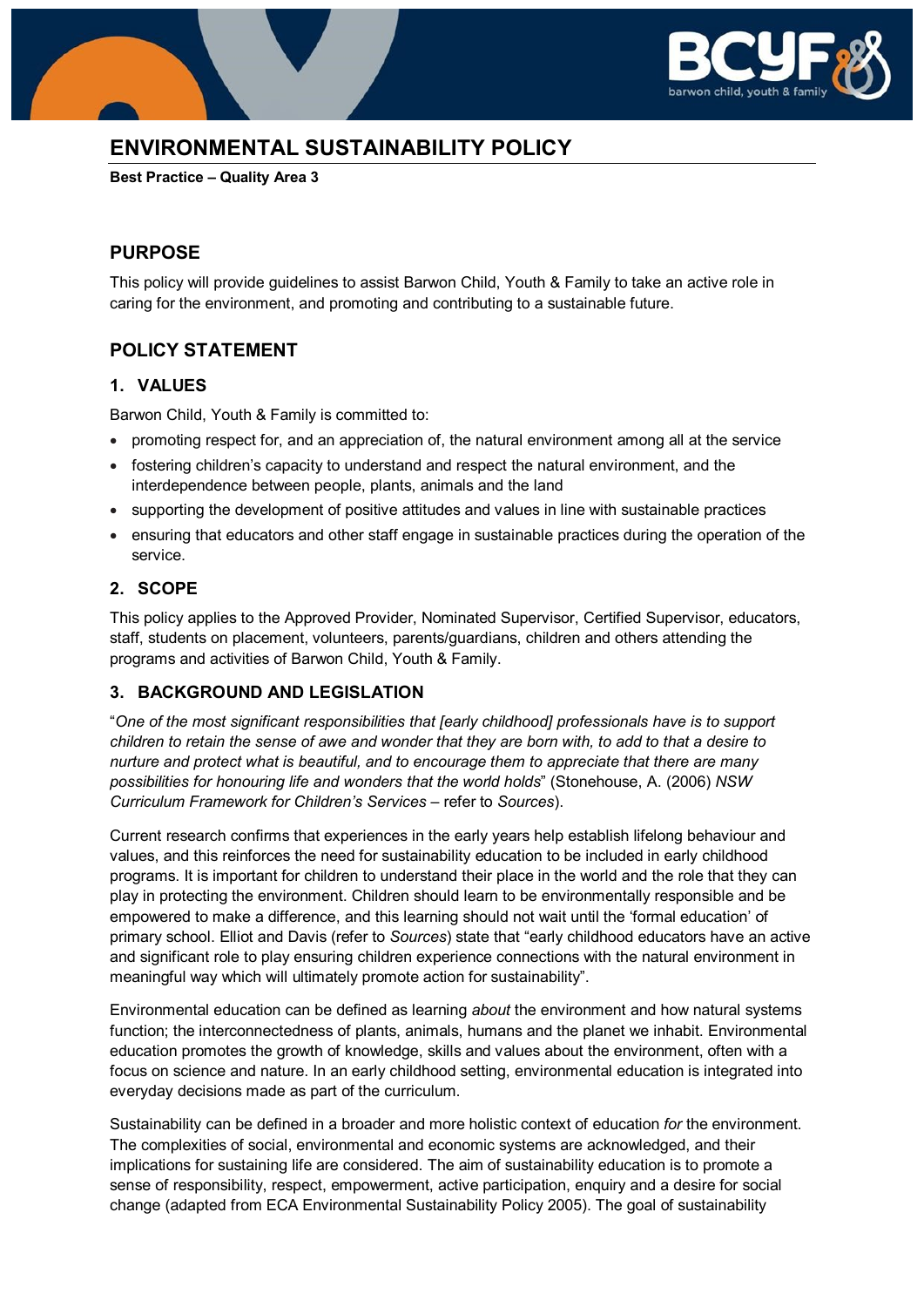

# **ENVIRONMENTAL SUSTAINABILITY POLICY**

**Best Practice – Quality Area 3**

### **PURPOSE**

This policy will provide guidelines to assist Barwon Child, Youth & Family to take an active role in caring for the environment, and promoting and contributing to a sustainable future.

### **POLICY STATEMENT**

#### **1. VALUES**

Barwon Child, Youth & Family is committed to:

- promoting respect for, and an appreciation of, the natural environment among all at the service
- fostering children's capacity to understand and respect the natural environment, and the interdependence between people, plants, animals and the land
- supporting the development of positive attitudes and values in line with sustainable practices
- ensuring that educators and other staff engage in sustainable practices during the operation of the service.

### **2. SCOPE**

This policy applies to the Approved Provider, Nominated Supervisor, Certified Supervisor, educators, staff, students on placement, volunteers, parents/guardians, children and others attending the programs and activities of Barwon Child, Youth & Family.

#### **3. BACKGROUND AND LEGISLATION**

"*One of the most significant responsibilities that [early childhood] professionals have is to support children to retain the sense of awe and wonder that they are born with, to add to that a desire to nurture and protect what is beautiful, and to encourage them to appreciate that there are many possibilities for honouring life and wonders that the world holds*" (Stonehouse, A. (2006) *NSW Curriculum Framework for Children's Services* – refer to *Sources*).

Current research confirms that experiences in the early years help establish lifelong behaviour and values, and this reinforces the need for sustainability education to be included in early childhood programs. It is important for children to understand their place in the world and the role that they can play in protecting the environment. Children should learn to be environmentally responsible and be empowered to make a difference, and this learning should not wait until the 'formal education' of primary school. Elliot and Davis (refer to *Sources*) state that "early childhood educators have an active and significant role to play ensuring children experience connections with the natural environment in meaningful way which will ultimately promote action for sustainability".

Environmental education can be defined as learning *about* the environment and how natural systems function; the interconnectedness of plants, animals, humans and the planet we inhabit. Environmental education promotes the growth of knowledge, skills and values about the environment, often with a focus on science and nature. In an early childhood setting, environmental education is integrated into everyday decisions made as part of the curriculum.

Sustainability can be defined in a broader and more holistic context of education *for* the environment. The complexities of social, environmental and economic systems are acknowledged, and their implications for sustaining life are considered. The aim of sustainability education is to promote a sense of responsibility, respect, empowerment, active participation, enquiry and a desire for social change (adapted from ECA Environmental Sustainability Policy 2005). The goal of sustainability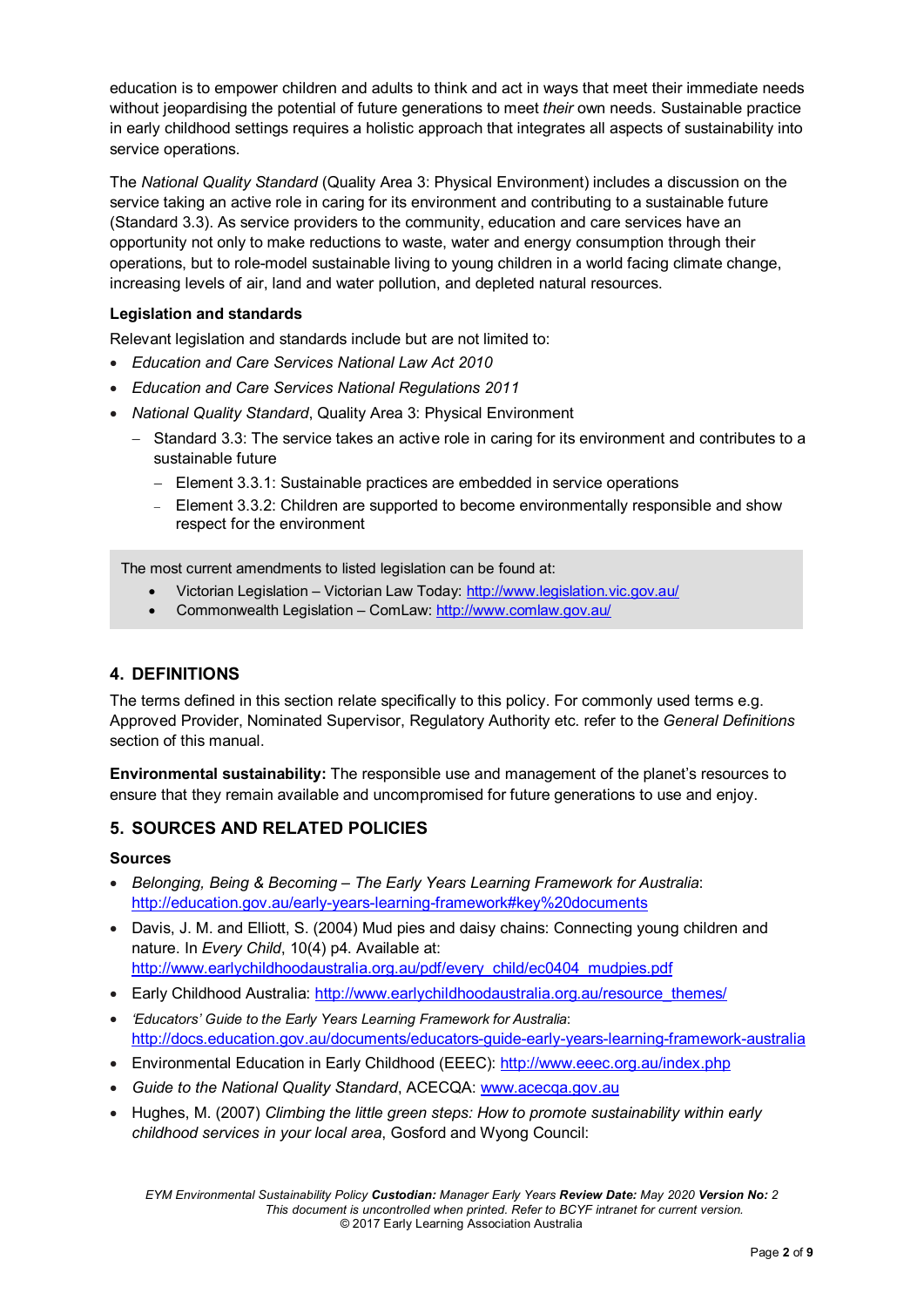education is to empower children and adults to think and act in ways that meet their immediate needs without jeopardising the potential of future generations to meet *their* own needs. Sustainable practice in early childhood settings requires a holistic approach that integrates all aspects of sustainability into service operations.

The *National Quality Standard* (Quality Area 3: Physical Environment) includes a discussion on the service taking an active role in caring for its environment and contributing to a sustainable future (Standard 3.3). As service providers to the community, education and care services have an opportunity not only to make reductions to waste, water and energy consumption through their operations, but to role-model sustainable living to young children in a world facing climate change, increasing levels of air, land and water pollution, and depleted natural resources.

#### **Legislation and standards**

Relevant legislation and standards include but are not limited to:

- *Education and Care Services National Law Act 2010*
- *Education and Care Services National Regulations 2011*
- *National Quality Standard*, Quality Area 3: Physical Environment
	- − Standard 3.3: The service takes an active role in caring for its environment and contributes to a sustainable future
		- − Element 3.3.1: Sustainable practices are embedded in service operations
		- − Element 3.3.2: Children are supported to become environmentally responsible and show respect for the environment

The most current amendments to listed legislation can be found at:

- Victorian Legislation Victorian Law Today:<http://www.legislation.vic.gov.au/>
- Commonwealth Legislation ComLaw:<http://www.comlaw.gov.au/>

#### **4. DEFINITIONS**

The terms defined in this section relate specifically to this policy. For commonly used terms e.g. Approved Provider, Nominated Supervisor, Regulatory Authority etc. refer to the *General Definitions* section of this manual.

**Environmental sustainability:** The responsible use and management of the planet's resources to ensure that they remain available and uncompromised for future generations to use and enjoy.

#### **5. SOURCES AND RELATED POLICIES**

#### **Sources**

- *Belonging, Being & Becoming – The Early Years Learning Framework for Australia*: <http://education.gov.au/early-years-learning-framework#key%20documents>
- Davis, J. M. and Elliott, S. (2004) Mud pies and daisy chains: Connecting young children and nature. In *Every Child*, 10(4) p4. Available at: [http://www.earlychildhoodaustralia.org.au/pdf/every\\_child/ec0404\\_mudpies.pdf](http://www.earlychildhoodaustralia.org.au/pdf/every_child/ec0404_mudpies.pdf)
- Early Childhood Australia: [http://www.earlychildhoodaustralia.org.au/resource\\_themes/](http://www.earlychildhoodaustralia.org.au/resource_themes/)
- *'Educators' Guide to the Early Years Learning Framework for Australia*: <http://docs.education.gov.au/documents/educators-guide-early-years-learning-framework-australia>
- Environmental Education in Early Childhood (EEEC):<http://www.eeec.org.au/index.php>
- *Guide to the National Quality Standard*, ACECQA: [www.acecqa.gov.au](http://www.acecqa.gov.au/)
- Hughes, M. (2007) *Climbing the little green steps: How to promote sustainability within early childhood services in your local area*, Gosford and Wyong Council: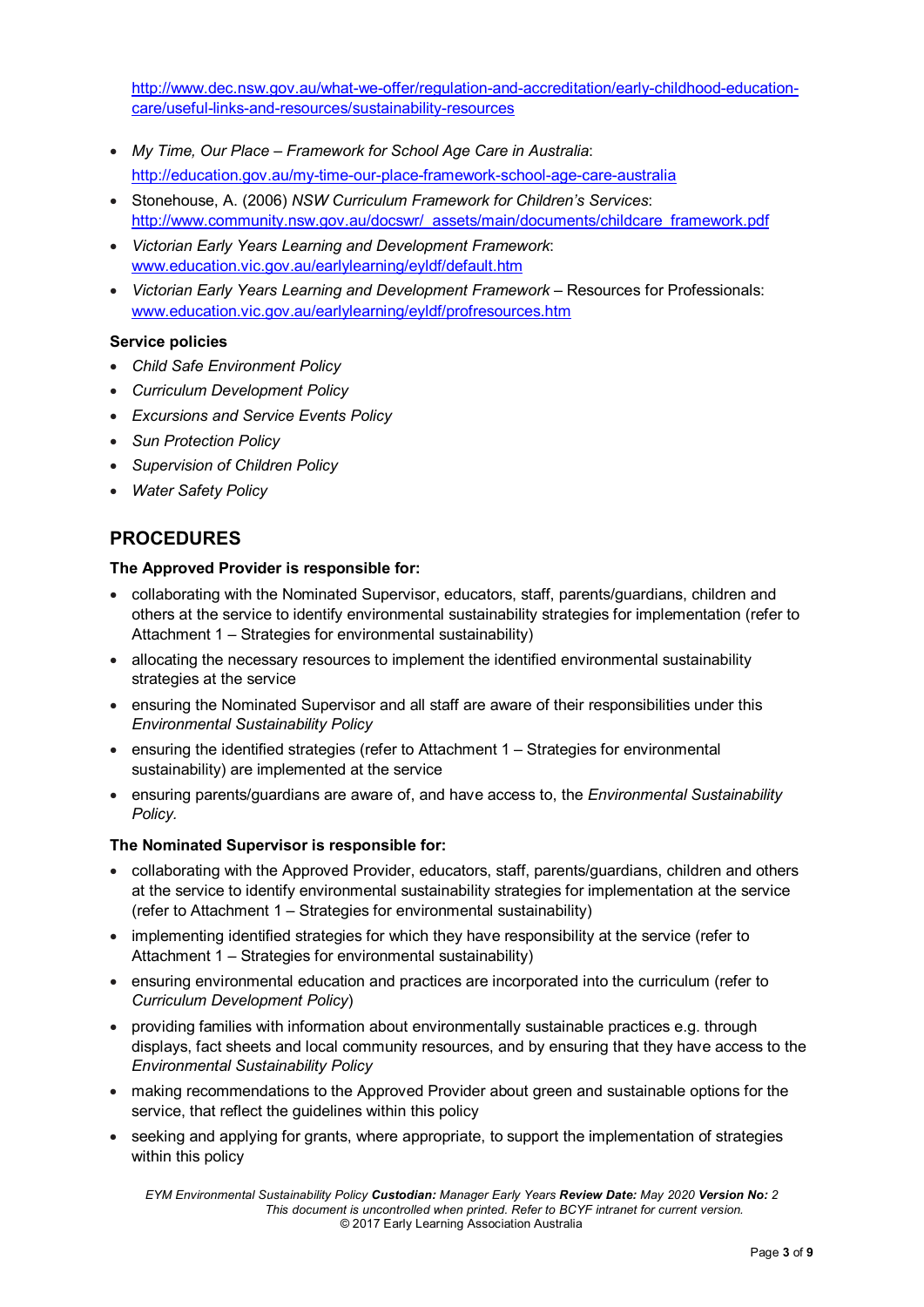[http://www.dec.nsw.gov.au/what-we-offer/regulation-and-accreditation/early-childhood-education](http://www.dec.nsw.gov.au/what-we-offer/regulation-and-accreditation/early-childhood-education-care/useful-links-and-resources/sustainability-resources)[care/useful-links-and-resources/sustainability-resources](http://www.dec.nsw.gov.au/what-we-offer/regulation-and-accreditation/early-childhood-education-care/useful-links-and-resources/sustainability-resources)

- *My Time, Our Place – Framework for School Age Care in Australia*: <http://education.gov.au/my-time-our-place-framework-school-age-care-australia>
- Stonehouse, A. (2006) *NSW Curriculum Framework for Children's Services*: [http://www.community.nsw.gov.au/docswr/\\_assets/main/documents/childcare\\_framework.pdf](http://www.community.nsw.gov.au/docswr/_assets/main/documents/childcare_framework.pdf)
- *Victorian Early Years Learning and Development Framework*: [www.education.vic.gov.au/earlylearning/eyldf/default.htm](http://www.education.vic.gov.au/earlylearning/eyldf/default.htm)
- *Victorian Early Years Learning and Development Framework* Resources for Professionals: [www.education.vic.gov.au/earlylearning/eyldf/profresources.htm](http://www.education.vic.gov.au/earlylearning/eyldf/profresources.htm)

#### **Service policies**

- *Child Safe Environment Policy*
- *Curriculum Development Policy*
- *Excursions and Service Events Policy*
- *Sun Protection Policy*
- *Supervision of Children Policy*
- *Water Safety Policy*

### **PROCEDURES**

#### **The Approved Provider is responsible for:**

- collaborating with the Nominated Supervisor, educators, staff, parents/guardians, children and others at the service to identify environmental sustainability strategies for implementation (refer to Attachment 1 – Strategies for environmental sustainability)
- allocating the necessary resources to implement the identified environmental sustainability strategies at the service
- ensuring the Nominated Supervisor and all staff are aware of their responsibilities under this *Environmental Sustainability Policy*
- ensuring the identified strategies (refer to Attachment 1 Strategies for environmental sustainability) are implemented at the service
- ensuring parents/guardians are aware of, and have access to, the *Environmental Sustainability Policy.*

#### **The Nominated Supervisor is responsible for:**

- collaborating with the Approved Provider, educators, staff, parents/guardians, children and others at the service to identify environmental sustainability strategies for implementation at the service (refer to Attachment 1 – Strategies for environmental sustainability)
- implementing identified strategies for which they have responsibility at the service (refer to Attachment 1 – Strategies for environmental sustainability)
- ensuring environmental education and practices are incorporated into the curriculum (refer to *Curriculum Development Policy*)
- providing families with information about environmentally sustainable practices e.g. through displays, fact sheets and local community resources, and by ensuring that they have access to the *Environmental Sustainability Policy*
- making recommendations to the Approved Provider about green and sustainable options for the service, that reflect the guidelines within this policy
- seeking and applying for grants, where appropriate, to support the implementation of strategies within this policy

*EYM Environmental Sustainability Policy Custodian: Manager Early Years Review Date: May 2020 Version No: 2 This document is uncontrolled when printed. Refer to BCYF intranet for current version.* © 2017 Early Learning Association Australia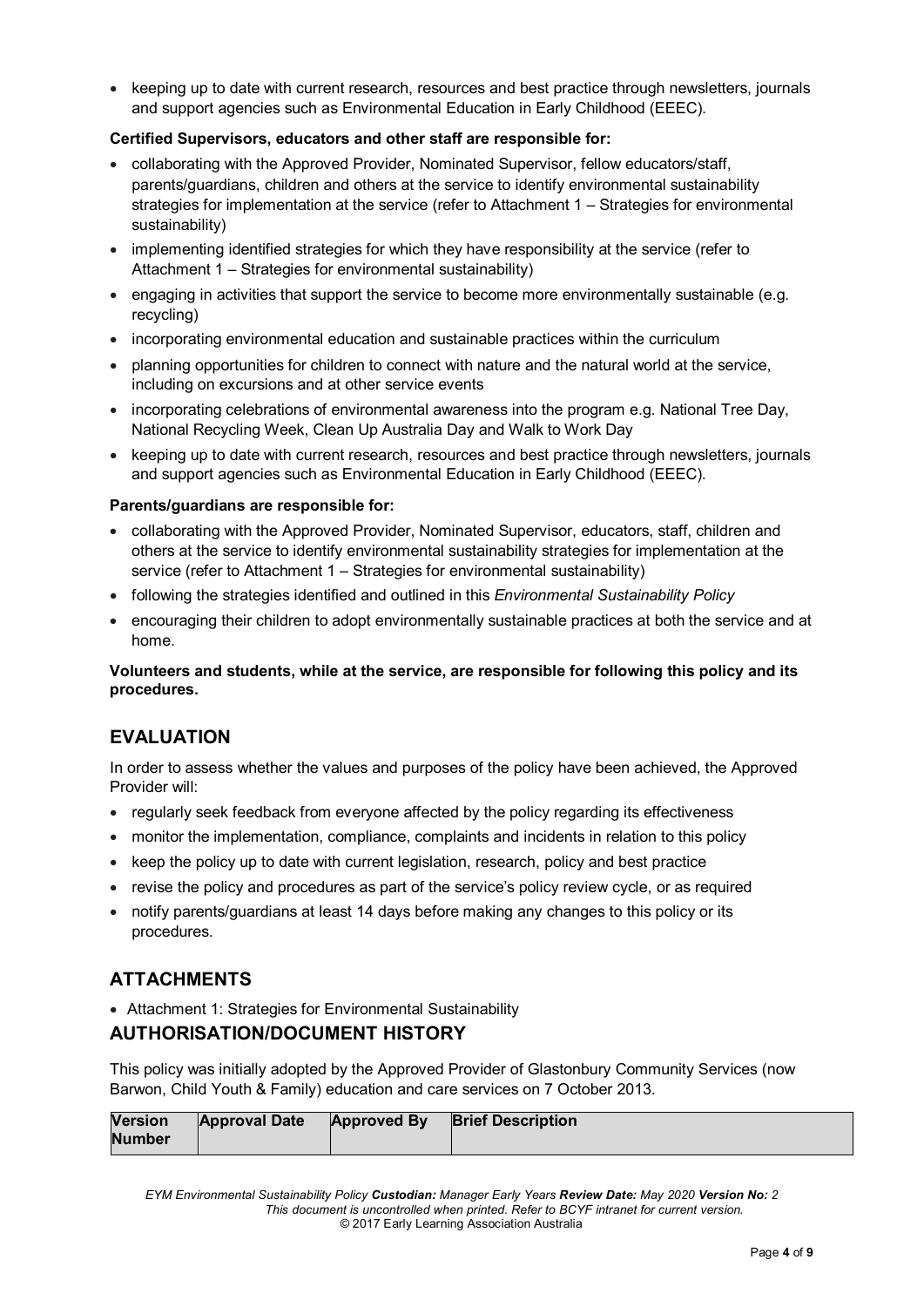• keeping up to date with current research, resources and best practice through newsletters, journals and support agencies such as Environmental Education in Early Childhood (EEEC).

#### **Certified Supervisors, educators and other staff are responsible for:**

- collaborating with the Approved Provider, Nominated Supervisor, fellow educators/staff, parents/guardians, children and others at the service to identify environmental sustainability strategies for implementation at the service (refer to Attachment 1 – Strategies for environmental sustainability)
- implementing identified strategies for which they have responsibility at the service (refer to Attachment 1 – Strategies for environmental sustainability)
- engaging in activities that support the service to become more environmentally sustainable (e.g. recycling)
- incorporating environmental education and sustainable practices within the curriculum
- planning opportunities for children to connect with nature and the natural world at the service, including on excursions and at other service events
- incorporating celebrations of environmental awareness into the program e.g. National Tree Day, National Recycling Week, Clean Up Australia Day and Walk to Work Day
- keeping up to date with current research, resources and best practice through newsletters, journals and support agencies such as Environmental Education in Early Childhood (EEEC).

#### **Parents/guardians are responsible for:**

- collaborating with the Approved Provider, Nominated Supervisor, educators, staff, children and others at the service to identify environmental sustainability strategies for implementation at the service (refer to Attachment 1 – Strategies for environmental sustainability)
- following the strategies identified and outlined in this *Environmental Sustainability Policy*
- encouraging their children to adopt environmentally sustainable practices at both the service and at home.

#### **Volunteers and students, while at the service, are responsible for following this policy and its procedures.**

#### **EVALUATION**

In order to assess whether the values and purposes of the policy have been achieved, the Approved Provider will:

- regularly seek feedback from everyone affected by the policy regarding its effectiveness
- monitor the implementation, compliance, complaints and incidents in relation to this policy
- keep the policy up to date with current legislation, research, policy and best practice
- revise the policy and procedures as part of the service's policy review cycle, or as required
- notify parents/guardians at least 14 days before making any changes to this policy or its procedures.

### **ATTACHMENTS**

• Attachment 1: Strategies for Environmental Sustainability

### **AUTHORISATION/DOCUMENT HISTORY**

This policy was initially adopted by the Approved Provider of Glastonbury Community Services (now Barwon, Child Youth & Family) education and care services on 7 October 2013.

| <b>Version</b> | <b>Approval Date</b> | <b>Approved By</b> | <b>Brief Description</b> |
|----------------|----------------------|--------------------|--------------------------|
| <b>Number</b>  |                      |                    |                          |

*EYM Environmental Sustainability Policy Custodian: Manager Early Years Review Date: May 2020 Version No: 2 This document is uncontrolled when printed. Refer to BCYF intranet for current version.* © 2017 Early Learning Association Australia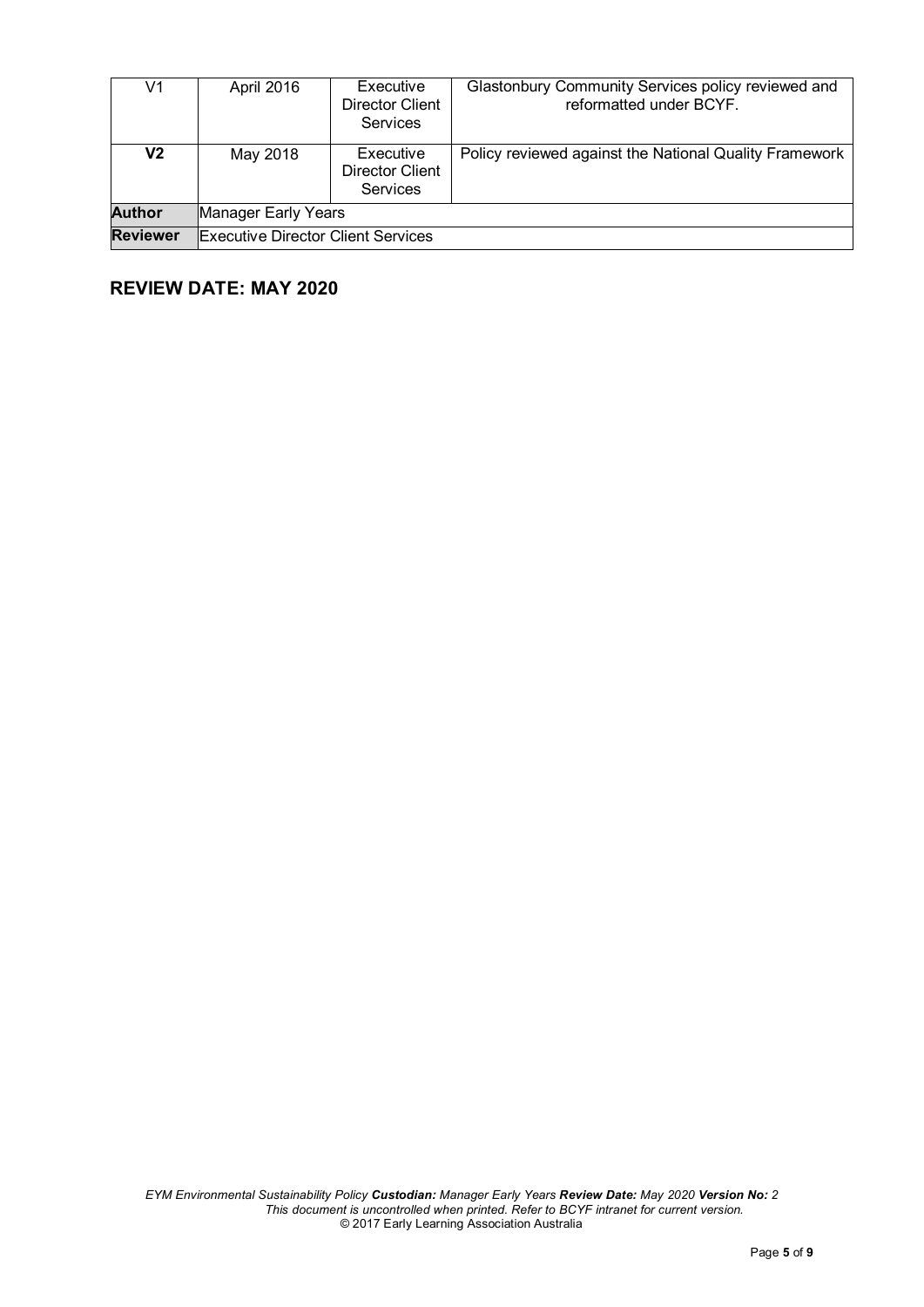| V1              | April 2016                                | Executive<br>Director Client<br>Services        | Glastonbury Community Services policy reviewed and<br>reformatted under BCYF. |  |  |
|-----------------|-------------------------------------------|-------------------------------------------------|-------------------------------------------------------------------------------|--|--|
| V2              | May 2018                                  | Executive<br><b>Director Client</b><br>Services | Policy reviewed against the National Quality Framework                        |  |  |
| <b>Author</b>   | Manager Early Years                       |                                                 |                                                                               |  |  |
| <b>Reviewer</b> | <b>Executive Director Client Services</b> |                                                 |                                                                               |  |  |

# **REVIEW DATE: MAY 2020**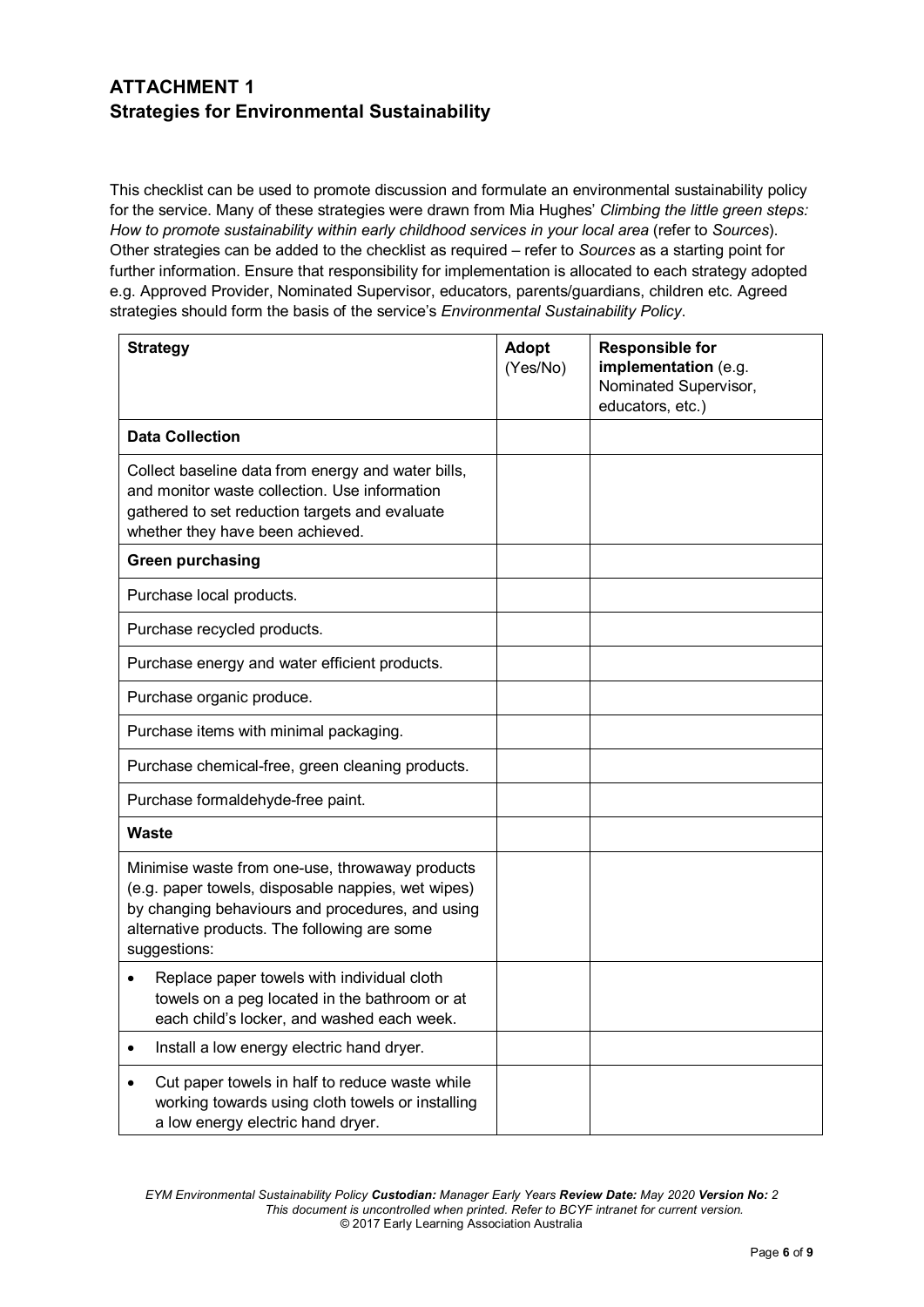## **ATTACHMENT 1 Strategies for Environmental Sustainability**

This checklist can be used to promote discussion and formulate an environmental sustainability policy for the service. Many of these strategies were drawn from Mia Hughes' *Climbing the little green steps: How to promote sustainability within early childhood services in your local area* (refer to *Sources*). Other strategies can be added to the checklist as required – refer to *Sources* as a starting point for further information. Ensure that responsibility for implementation is allocated to each strategy adopted e.g. Approved Provider, Nominated Supervisor, educators, parents/guardians, children etc. Agreed strategies should form the basis of the service's *Environmental Sustainability Policy*.

| <b>Strategy</b>                                                                                                                                                                                                           | <b>Adopt</b><br>(Yes/No) | <b>Responsible for</b><br>implementation (e.g.<br>Nominated Supervisor,<br>educators, etc.) |
|---------------------------------------------------------------------------------------------------------------------------------------------------------------------------------------------------------------------------|--------------------------|---------------------------------------------------------------------------------------------|
| <b>Data Collection</b>                                                                                                                                                                                                    |                          |                                                                                             |
| Collect baseline data from energy and water bills,<br>and monitor waste collection. Use information<br>gathered to set reduction targets and evaluate<br>whether they have been achieved.                                 |                          |                                                                                             |
| <b>Green purchasing</b>                                                                                                                                                                                                   |                          |                                                                                             |
| Purchase local products.                                                                                                                                                                                                  |                          |                                                                                             |
| Purchase recycled products.                                                                                                                                                                                               |                          |                                                                                             |
| Purchase energy and water efficient products.                                                                                                                                                                             |                          |                                                                                             |
| Purchase organic produce.                                                                                                                                                                                                 |                          |                                                                                             |
| Purchase items with minimal packaging.                                                                                                                                                                                    |                          |                                                                                             |
| Purchase chemical-free, green cleaning products.                                                                                                                                                                          |                          |                                                                                             |
| Purchase formaldehyde-free paint.                                                                                                                                                                                         |                          |                                                                                             |
| <b>Waste</b>                                                                                                                                                                                                              |                          |                                                                                             |
| Minimise waste from one-use, throwaway products<br>(e.g. paper towels, disposable nappies, wet wipes)<br>by changing behaviours and procedures, and using<br>alternative products. The following are some<br>suggestions: |                          |                                                                                             |
| Replace paper towels with individual cloth<br>$\bullet$<br>towels on a peg located in the bathroom or at<br>each child's locker, and washed each week.                                                                    |                          |                                                                                             |
| Install a low energy electric hand dryer.<br>$\bullet$                                                                                                                                                                    |                          |                                                                                             |
| Cut paper towels in half to reduce waste while<br>working towards using cloth towels or installing<br>a low energy electric hand dryer.                                                                                   |                          |                                                                                             |

*EYM Environmental Sustainability Policy Custodian: Manager Early Years Review Date: May 2020 Version No: 2 This document is uncontrolled when printed. Refer to BCYF intranet for current version.* © 2017 Early Learning Association Australia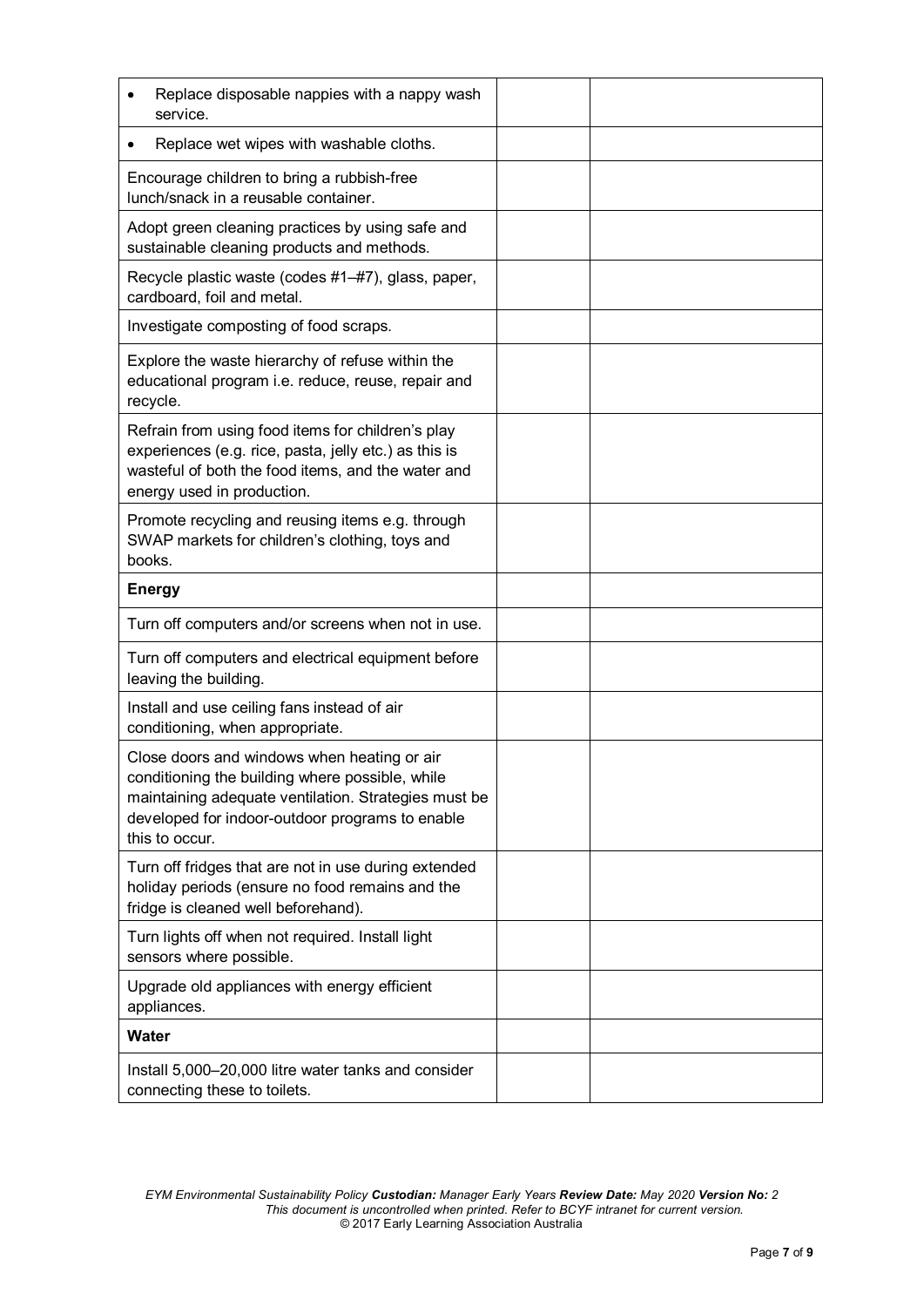| Replace disposable nappies with a nappy wash<br>service.                                                                                                                                                                    |  |
|-----------------------------------------------------------------------------------------------------------------------------------------------------------------------------------------------------------------------------|--|
| Replace wet wipes with washable cloths.                                                                                                                                                                                     |  |
| Encourage children to bring a rubbish-free<br>lunch/snack in a reusable container.                                                                                                                                          |  |
| Adopt green cleaning practices by using safe and<br>sustainable cleaning products and methods.                                                                                                                              |  |
| Recycle plastic waste (codes #1-#7), glass, paper,<br>cardboard, foil and metal.                                                                                                                                            |  |
| Investigate composting of food scraps.                                                                                                                                                                                      |  |
| Explore the waste hierarchy of refuse within the<br>educational program i.e. reduce, reuse, repair and<br>recycle.                                                                                                          |  |
| Refrain from using food items for children's play<br>experiences (e.g. rice, pasta, jelly etc.) as this is<br>wasteful of both the food items, and the water and<br>energy used in production.                              |  |
| Promote recycling and reusing items e.g. through<br>SWAP markets for children's clothing, toys and<br>books.                                                                                                                |  |
| <b>Energy</b>                                                                                                                                                                                                               |  |
| Turn off computers and/or screens when not in use.                                                                                                                                                                          |  |
| Turn off computers and electrical equipment before<br>leaving the building.                                                                                                                                                 |  |
| Install and use ceiling fans instead of air<br>conditioning, when appropriate.                                                                                                                                              |  |
| Close doors and windows when heating or air<br>conditioning the building where possible, while<br>maintaining adequate ventilation. Strategies must be<br>developed for indoor-outdoor programs to enable<br>this to occur. |  |
| Turn off fridges that are not in use during extended<br>holiday periods (ensure no food remains and the<br>fridge is cleaned well beforehand).                                                                              |  |
| Turn lights off when not required. Install light<br>sensors where possible.                                                                                                                                                 |  |
| Upgrade old appliances with energy efficient<br>appliances.                                                                                                                                                                 |  |
| Water                                                                                                                                                                                                                       |  |
| Install 5,000-20,000 litre water tanks and consider<br>connecting these to toilets.                                                                                                                                         |  |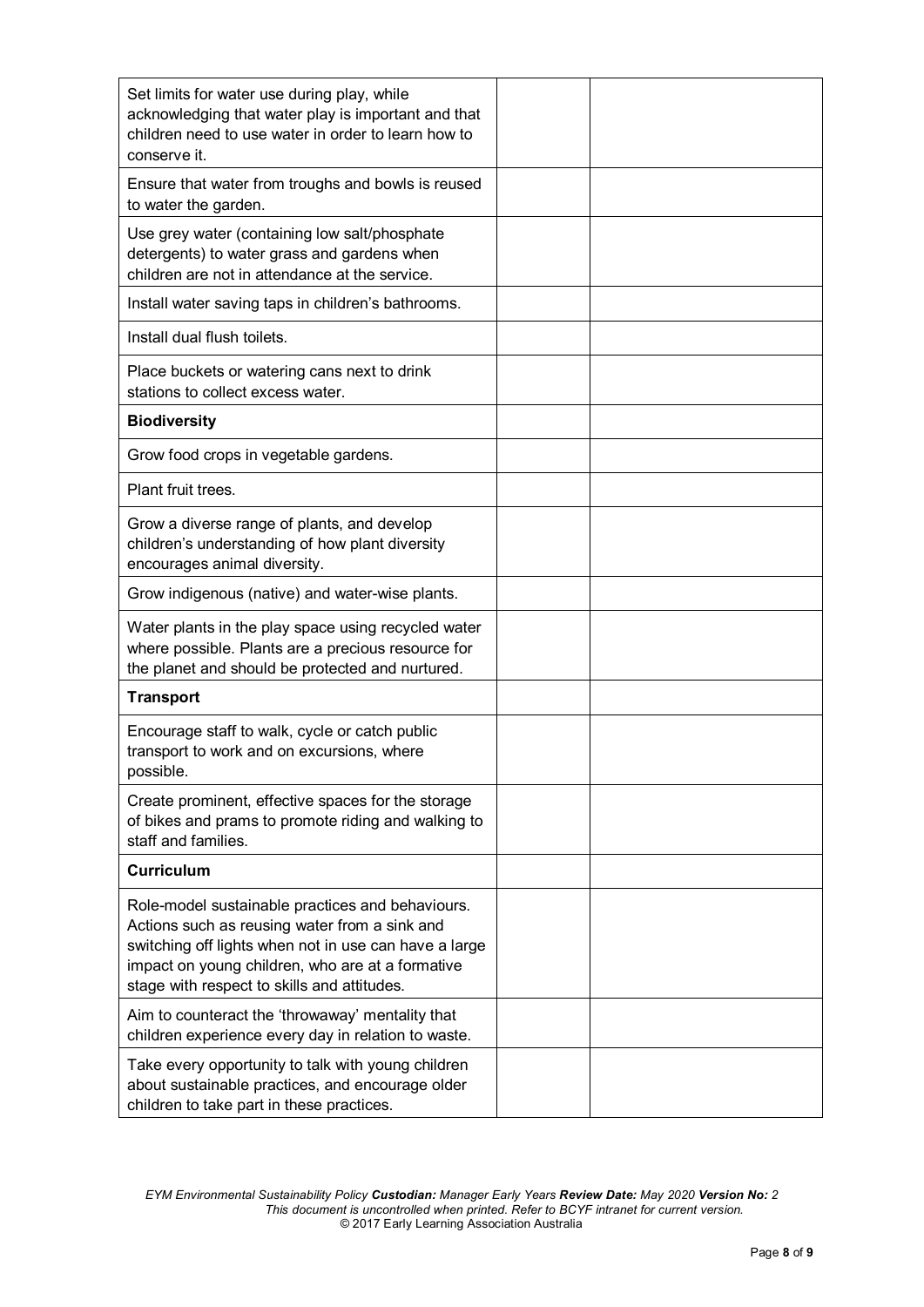| Set limits for water use during play, while<br>acknowledging that water play is important and that<br>children need to use water in order to learn how to<br>conserve it.                                                                                     |  |
|---------------------------------------------------------------------------------------------------------------------------------------------------------------------------------------------------------------------------------------------------------------|--|
| Ensure that water from troughs and bowls is reused<br>to water the garden.                                                                                                                                                                                    |  |
| Use grey water (containing low salt/phosphate<br>detergents) to water grass and gardens when<br>children are not in attendance at the service.                                                                                                                |  |
| Install water saving taps in children's bathrooms.                                                                                                                                                                                                            |  |
| Install dual flush toilets.                                                                                                                                                                                                                                   |  |
| Place buckets or watering cans next to drink<br>stations to collect excess water.                                                                                                                                                                             |  |
| <b>Biodiversity</b>                                                                                                                                                                                                                                           |  |
| Grow food crops in vegetable gardens.                                                                                                                                                                                                                         |  |
| Plant fruit trees.                                                                                                                                                                                                                                            |  |
| Grow a diverse range of plants, and develop<br>children's understanding of how plant diversity<br>encourages animal diversity.                                                                                                                                |  |
| Grow indigenous (native) and water-wise plants.                                                                                                                                                                                                               |  |
| Water plants in the play space using recycled water<br>where possible. Plants are a precious resource for<br>the planet and should be protected and nurtured.                                                                                                 |  |
| <b>Transport</b>                                                                                                                                                                                                                                              |  |
| Encourage staff to walk, cycle or catch public<br>transport to work and on excursions, where<br>possible.                                                                                                                                                     |  |
| Create prominent, effective spaces for the storage<br>of bikes and prams to promote riding and walking to<br>staff and families.                                                                                                                              |  |
| <b>Curriculum</b>                                                                                                                                                                                                                                             |  |
| Role-model sustainable practices and behaviours.<br>Actions such as reusing water from a sink and<br>switching off lights when not in use can have a large<br>impact on young children, who are at a formative<br>stage with respect to skills and attitudes. |  |
| Aim to counteract the 'throwaway' mentality that<br>children experience every day in relation to waste.                                                                                                                                                       |  |
| Take every opportunity to talk with young children<br>about sustainable practices, and encourage older<br>children to take part in these practices.                                                                                                           |  |